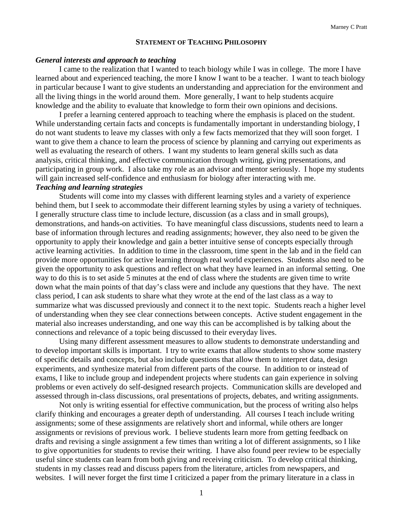### **STATEMENT OF TEACHING PHILOSOPHY**

#### *General interests and approach to teaching*

I came to the realization that I wanted to teach biology while I was in college. The more I have learned about and experienced teaching, the more I know I want to be a teacher. I want to teach biology in particular because I want to give students an understanding and appreciation for the environment and all the living things in the world around them. More generally, I want to help students acquire knowledge and the ability to evaluate that knowledge to form their own opinions and decisions.

I prefer a learning centered approach to teaching where the emphasis is placed on the student. While understanding certain facts and concepts is fundamentally important in understanding biology, I do not want students to leave my classes with only a few facts memorized that they will soon forget. I want to give them a chance to learn the process of science by planning and carrying out experiments as well as evaluating the research of others. I want my students to learn general skills such as data analysis, critical thinking, and effective communication through writing, giving presentations, and participating in group work. I also take my role as an advisor and mentor seriously. I hope my students will gain increased self-confidence and enthusiasm for biology after interacting with me.

#### *Teaching and learning strategies*

Students will come into my classes with different learning styles and a variety of experience behind them, but I seek to accommodate their different learning styles by using a variety of techniques. I generally structure class time to include lecture, discussion (as a class and in small groups), demonstrations, and hands-on activities. To have meaningful class discussions, students need to learn a base of information through lectures and reading assignments; however, they also need to be given the opportunity to apply their knowledge and gain a better intuitive sense of concepts especially through active learning activities. In addition to time in the classroom, time spent in the lab and in the field can provide more opportunities for active learning through real world experiences. Students also need to be given the opportunity to ask questions and reflect on what they have learned in an informal setting. One way to do this is to set aside 5 minutes at the end of class where the students are given time to write down what the main points of that day's class were and include any questions that they have. The next class period, I can ask students to share what they wrote at the end of the last class as a way to summarize what was discussed previously and connect it to the next topic. Students reach a higher level of understanding when they see clear connections between concepts. Active student engagement in the material also increases understanding, and one way this can be accomplished is by talking about the connections and relevance of a topic being discussed to their everyday lives.

Using many different assessment measures to allow students to demonstrate understanding and to develop important skills is important. I try to write exams that allow students to show some mastery of specific details and concepts, but also include questions that allow them to interpret data, design experiments, and synthesize material from different parts of the course. In addition to or instead of exams, I like to include group and independent projects where students can gain experience in solving problems or even actively do self-designed research projects. Communication skills are developed and assessed through in-class discussions, oral presentations of projects, debates, and writing assignments.

Not only is writing essential for effective communication, but the process of writing also helps clarify thinking and encourages a greater depth of understanding. All courses I teach include writing assignments; some of these assignments are relatively short and informal, while others are longer assignments or revisions of previous work. I believe students learn more from getting feedback on drafts and revising a single assignment a few times than writing a lot of different assignments, so I like to give opportunities for students to revise their writing. I have also found peer review to be especially useful since students can learn from both giving and receiving criticism. To develop critical thinking, students in my classes read and discuss papers from the literature, articles from newspapers, and websites. I will never forget the first time I criticized a paper from the primary literature in a class in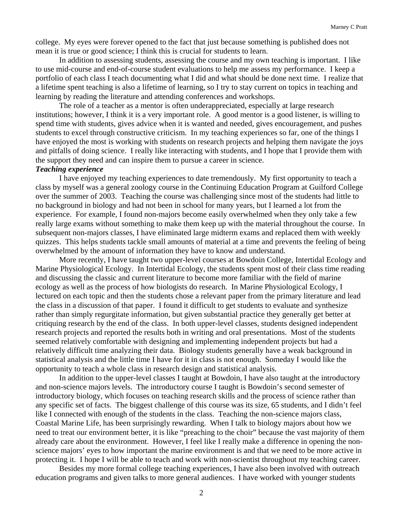college. My eyes were forever opened to the fact that just because something is published does not mean it is true or good science; I think this is crucial for students to learn.

In addition to assessing students, assessing the course and my own teaching is important. I like to use mid-course and end-of-course student evaluations to help me assess my performance. I keep a portfolio of each class I teach documenting what I did and what should be done next time. I realize that a lifetime spent teaching is also a lifetime of learning, so I try to stay current on topics in teaching and learning by reading the literature and attending conferences and workshops.

The role of a teacher as a mentor is often underappreciated, especially at large research institutions; however, I think it is a very important role. A good mentor is a good listener, is willing to spend time with students, gives advice when it is wanted and needed, gives encouragement, and pushes students to excel through constructive criticism. In my teaching experiences so far, one of the things I have enjoyed the most is working with students on research projects and helping them navigate the joys and pitfalls of doing science. I really like interacting with students, and I hope that I provide them with the support they need and can inspire them to pursue a career in science.

## *Teaching experience*

I have enjoyed my teaching experiences to date tremendously. My first opportunity to teach a class by myself was a general zoology course in the Continuing Education Program at Guilford College over the summer of 2003. Teaching the course was challenging since most of the students had little to no background in biology and had not been in school for many years, but I learned a lot from the experience. For example, I found non-majors become easily overwhelmed when they only take a few really large exams without something to make them keep up with the material throughout the course. In subsequent non-majors classes, I have eliminated large midterm exams and replaced them with weekly quizzes. This helps students tackle small amounts of material at a time and prevents the feeling of being overwhelmed by the amount of information they have to know and understand.

More recently, I have taught two upper-level courses at Bowdoin College, Intertidal Ecology and Marine Physiological Ecology. In Intertidal Ecology, the students spent most of their class time reading and discussing the classic and current literature to become more familiar with the field of marine ecology as well as the process of how biologists do research. In Marine Physiological Ecology, I lectured on each topic and then the students chose a relevant paper from the primary literature and lead the class in a discussion of that paper. I found it difficult to get students to evaluate and synthesize rather than simply regurgitate information, but given substantial practice they generally get better at critiquing research by the end of the class. In both upper-level classes, students designed independent research projects and reported the results both in writing and oral presentations. Most of the students seemed relatively comfortable with designing and implementing independent projects but had a relatively difficult time analyzing their data. Biology students generally have a weak background in statistical analysis and the little time I have for it in class is not enough. Someday I would like the opportunity to teach a whole class in research design and statistical analysis.

In addition to the upper-level classes I taught at Bowdoin, I have also taught at the introductory and non-science majors levels. The introductory course I taught is Bowdoin's second semester of introductory biology, which focuses on teaching research skills and the process of science rather than any specific set of facts. The biggest challenge of this course was its size, 65 students, and I didn't feel like I connected with enough of the students in the class. Teaching the non-science majors class, Coastal Marine Life, has been surprisingly rewarding. When I talk to biology majors about how we need to treat our environment better, it is like "preaching to the choir" because the vast majority of them already care about the environment. However, I feel like I really make a difference in opening the nonscience majors' eyes to how important the marine environment is and that we need to be more active in protecting it. I hope I will be able to teach and work with non-scientist throughout my teaching career.

Besides my more formal college teaching experiences, I have also been involved with outreach education programs and given talks to more general audiences. I have worked with younger students